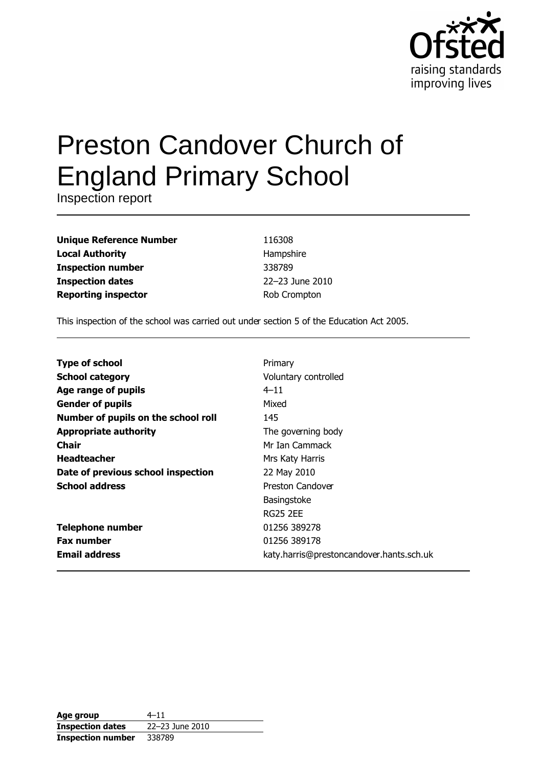

# **Preston Candover Church of England Primary School**

Inspection report

| <b>Unique Reference Number</b> |
|--------------------------------|
| <b>Local Authority</b>         |
| <b>Inspection number</b>       |
| <b>Inspection dates</b>        |
| <b>Reporting inspector</b>     |

116308 Hampshire 338789 22-23 June 2010 Rob Crompton

This inspection of the school was carried out under section 5 of the Education Act 2005.

| <b>Type of school</b>               | Primary                                  |
|-------------------------------------|------------------------------------------|
| <b>School category</b>              | Voluntary controlled                     |
| Age range of pupils                 | $4 - 11$                                 |
| <b>Gender of pupils</b>             | Mixed                                    |
| Number of pupils on the school roll | 145                                      |
| <b>Appropriate authority</b>        | The governing body                       |
| <b>Chair</b>                        | Mr Ian Cammack                           |
| <b>Headteacher</b>                  | Mrs Katy Harris                          |
| Date of previous school inspection  | 22 May 2010                              |
| <b>School address</b>               | Preston Candover                         |
|                                     | <b>Basingstoke</b>                       |
|                                     | <b>RG25 2EE</b>                          |
| <b>Telephone number</b>             | 01256 389278                             |
| <b>Fax number</b>                   | 01256 389178                             |
| <b>Email address</b>                | katy.harris@prestoncandover.hants.sch.uk |

| Age group                | $4 - 11$        |
|--------------------------|-----------------|
| <b>Inspection dates</b>  | 22-23 June 2010 |
| <b>Inspection number</b> | 338789          |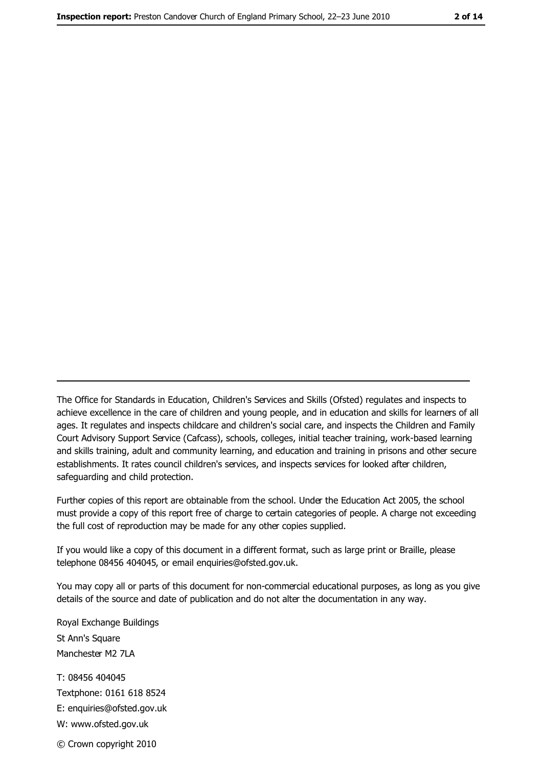The Office for Standards in Education, Children's Services and Skills (Ofsted) regulates and inspects to achieve excellence in the care of children and young people, and in education and skills for learners of all ages. It regulates and inspects childcare and children's social care, and inspects the Children and Family Court Advisory Support Service (Cafcass), schools, colleges, initial teacher training, work-based learning and skills training, adult and community learning, and education and training in prisons and other secure establishments. It rates council children's services, and inspects services for looked after children, safequarding and child protection.

Further copies of this report are obtainable from the school. Under the Education Act 2005, the school must provide a copy of this report free of charge to certain categories of people. A charge not exceeding the full cost of reproduction may be made for any other copies supplied.

If you would like a copy of this document in a different format, such as large print or Braille, please telephone 08456 404045, or email enquiries@ofsted.gov.uk.

You may copy all or parts of this document for non-commercial educational purposes, as long as you give details of the source and date of publication and do not alter the documentation in any way.

Royal Exchange Buildings St Ann's Square Manchester M2 7LA T: 08456 404045 Textphone: 0161 618 8524 E: enquiries@ofsted.gov.uk W: www.ofsted.gov.uk © Crown copyright 2010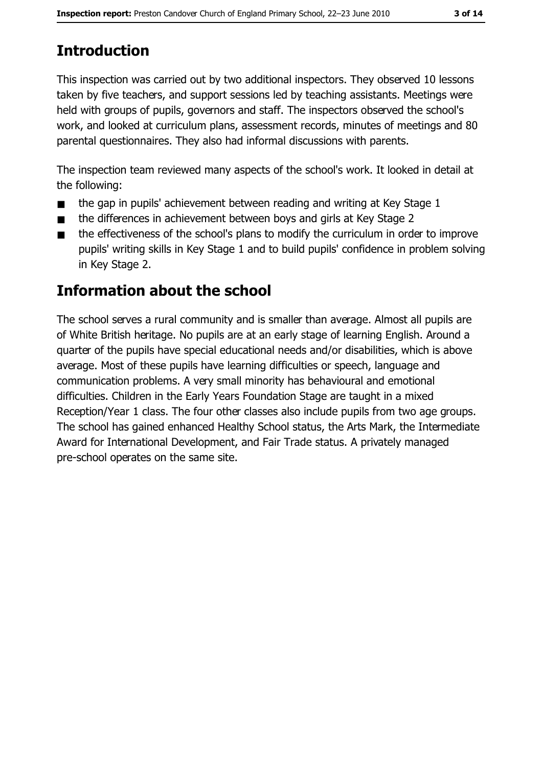## **Introduction**

This inspection was carried out by two additional inspectors. They observed 10 lessons taken by five teachers, and support sessions led by teaching assistants. Meetings were held with groups of pupils, governors and staff. The inspectors observed the school's work, and looked at curriculum plans, assessment records, minutes of meetings and 80 parental questionnaires. They also had informal discussions with parents.

The inspection team reviewed many aspects of the school's work. It looked in detail at the following:

- the gap in pupils' achievement between reading and writing at Key Stage 1  $\blacksquare$
- the differences in achievement between boys and girls at Key Stage 2  $\blacksquare$
- the effectiveness of the school's plans to modify the curriculum in order to improve  $\blacksquare$ pupils' writing skills in Key Stage 1 and to build pupils' confidence in problem solving in Key Stage 2.

## **Information about the school**

The school serves a rural community and is smaller than average. Almost all pupils are of White British heritage. No pupils are at an early stage of learning English. Around a quarter of the pupils have special educational needs and/or disabilities, which is above average. Most of these pupils have learning difficulties or speech, language and communication problems. A very small minority has behavioural and emotional difficulties. Children in the Early Years Foundation Stage are taught in a mixed Reception/Year 1 class. The four other classes also include pupils from two age groups. The school has gained enhanced Healthy School status, the Arts Mark, the Intermediate Award for International Development, and Fair Trade status. A privately managed pre-school operates on the same site.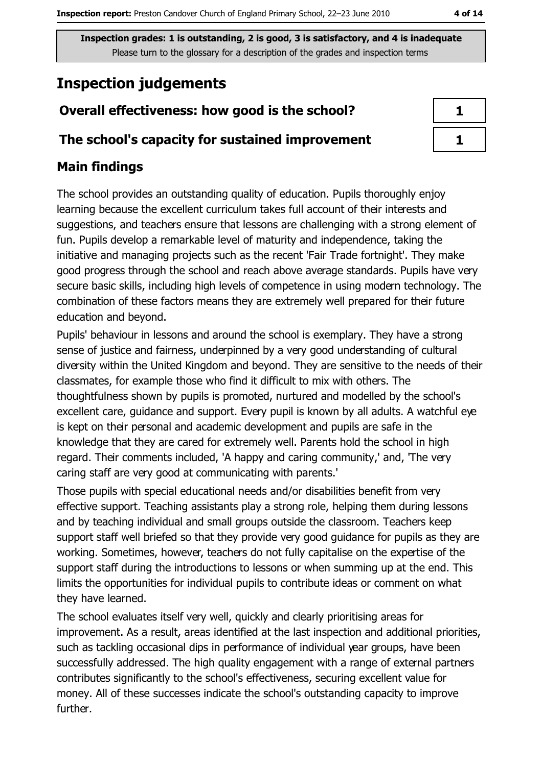# **Inspection judgements**

## Overall effectiveness: how good is the school?

## The school's capacity for sustained improvement

## **Main findings**

The school provides an outstanding quality of education. Pupils thoroughly enjoy learning because the excellent curriculum takes full account of their interests and suggestions, and teachers ensure that lessons are challenging with a strong element of fun. Pupils develop a remarkable level of maturity and independence, taking the initiative and managing projects such as the recent 'Fair Trade fortnight'. They make good progress through the school and reach above average standards. Pupils have very secure basic skills, including high levels of competence in using modern technology. The combination of these factors means they are extremely well prepared for their future education and beyond.

Pupils' behaviour in lessons and around the school is exemplary. They have a strong sense of justice and fairness, underpinned by a very good understanding of cultural diversity within the United Kingdom and beyond. They are sensitive to the needs of their classmates, for example those who find it difficult to mix with others. The thoughtfulness shown by pupils is promoted, nurtured and modelled by the school's excellent care, guidance and support. Every pupil is known by all adults. A watchful eye is kept on their personal and academic development and pupils are safe in the knowledge that they are cared for extremely well. Parents hold the school in high regard. Their comments included, 'A happy and caring community,' and, 'The very caring staff are very good at communicating with parents.'

Those pupils with special educational needs and/or disabilities benefit from very effective support. Teaching assistants play a strong role, helping them during lessons and by teaching individual and small groups outside the classroom. Teachers keep support staff well briefed so that they provide very good guidance for pupils as they are working. Sometimes, however, teachers do not fully capitalise on the expertise of the support staff during the introductions to lessons or when summing up at the end. This limits the opportunities for individual pupils to contribute ideas or comment on what they have learned.

The school evaluates itself very well, quickly and clearly prioritising areas for improvement. As a result, areas identified at the last inspection and additional priorities, such as tackling occasional dips in performance of individual year groups, have been successfully addressed. The high quality engagement with a range of external partners contributes significantly to the school's effectiveness, securing excellent value for money. All of these successes indicate the school's outstanding capacity to improve further.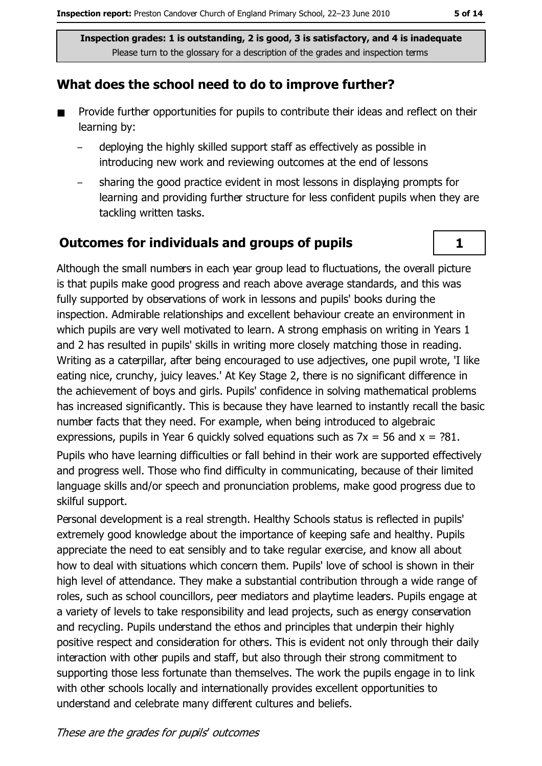#### What does the school need to do to improve further?

- Provide further opportunities for pupils to contribute their ideas and reflect on their  $\blacksquare$ learning by:
	- deploving the highly skilled support staff as effectively as possible in introducing new work and reviewing outcomes at the end of lessons
	- sharing the good practice evident in most lessons in displaying prompts for learning and providing further structure for less confident pupils when they are tackling written tasks.

#### **Outcomes for individuals and groups of pupils**

Although the small numbers in each year group lead to fluctuations, the overall picture is that pupils make good progress and reach above average standards, and this was fully supported by observations of work in lessons and pupils' books during the inspection. Admirable relationships and excellent behaviour create an environment in which pupils are very well motivated to learn. A strong emphasis on writing in Years 1 and 2 has resulted in pupils' skills in writing more closely matching those in reading. Writing as a caterpillar, after being encouraged to use adjectives, one pupil wrote, 'I like eating nice, crunchy, juicy leaves.' At Key Stage 2, there is no significant difference in the achievement of boys and girls. Pupils' confidence in solving mathematical problems has increased significantly. This is because they have learned to instantly recall the basic number facts that they need. For example, when being introduced to algebraic expressions, pupils in Year 6 quickly solved equations such as  $7x = 56$  and  $x = ?81$ . Pupils who have learning difficulties or fall behind in their work are supported effectively and progress well. Those who find difficulty in communicating, because of their limited language skills and/or speech and pronunciation problems, make good progress due to skilful support.

Personal development is a real strength. Healthy Schools status is reflected in pupils' extremely good knowledge about the importance of keeping safe and healthy. Pupils appreciate the need to eat sensibly and to take regular exercise, and know all about how to deal with situations which concern them. Pupils' love of school is shown in their high level of attendance. They make a substantial contribution through a wide range of roles, such as school councillors, peer mediators and playtime leaders. Pupils engage at a variety of levels to take responsibility and lead projects, such as energy conservation and recycling. Pupils understand the ethos and principles that underpin their highly positive respect and consideration for others. This is evident not only through their daily interaction with other pupils and staff, but also through their strong commitment to supporting those less fortunate than themselves. The work the pupils engage in to link with other schools locally and internationally provides excellent opportunities to understand and celebrate many different cultures and beliefs.

 $\mathbf{1}$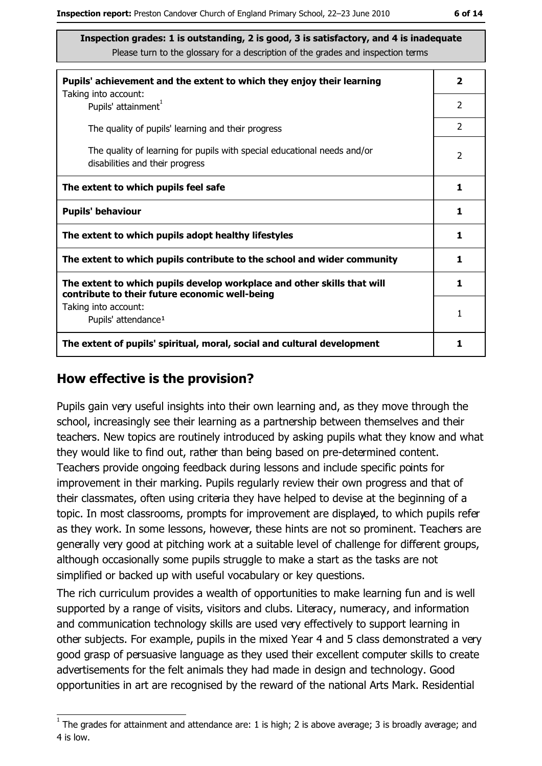| Pupils' achievement and the extent to which they enjoy their learning                                                     | $\mathbf{2}$   |  |
|---------------------------------------------------------------------------------------------------------------------------|----------------|--|
| Taking into account:<br>Pupils' attainment <sup>1</sup>                                                                   | 2              |  |
| The quality of pupils' learning and their progress                                                                        | $\overline{2}$ |  |
| The quality of learning for pupils with special educational needs and/or<br>disabilities and their progress               | $\overline{2}$ |  |
| The extent to which pupils feel safe                                                                                      |                |  |
| <b>Pupils' behaviour</b>                                                                                                  |                |  |
| The extent to which pupils adopt healthy lifestyles                                                                       |                |  |
| The extent to which pupils contribute to the school and wider community                                                   |                |  |
| The extent to which pupils develop workplace and other skills that will<br>contribute to their future economic well-being |                |  |
| Taking into account:<br>Pupils' attendance <sup>1</sup>                                                                   | 1              |  |
| The extent of pupils' spiritual, moral, social and cultural development                                                   | 1              |  |

#### How effective is the provision?

Pupils gain very useful insights into their own learning and, as they move through the school, increasingly see their learning as a partnership between themselves and their teachers. New topics are routinely introduced by asking pupils what they know and what they would like to find out, rather than being based on pre-determined content. Teachers provide ongoing feedback during lessons and include specific points for improvement in their marking. Pupils regularly review their own progress and that of their classmates, often using criteria they have helped to devise at the beginning of a topic. In most classrooms, prompts for improvement are displayed, to which pupils refer as they work. In some lessons, however, these hints are not so prominent. Teachers are generally very good at pitching work at a suitable level of challenge for different groups, although occasionally some pupils struggle to make a start as the tasks are not simplified or backed up with useful vocabulary or key questions.

The rich curriculum provides a wealth of opportunities to make learning fun and is well supported by a range of visits, visitors and clubs. Literacy, numeracy, and information and communication technology skills are used very effectively to support learning in other subjects. For example, pupils in the mixed Year 4 and 5 class demonstrated a very good grasp of persuasive language as they used their excellent computer skills to create advertisements for the felt animals they had made in design and technology. Good opportunities in art are recognised by the reward of the national Arts Mark. Residential

 $1$  The arades for attainment and attendance are: 1 is high; 2 is above average; 3 is broadly average; and 4 is low.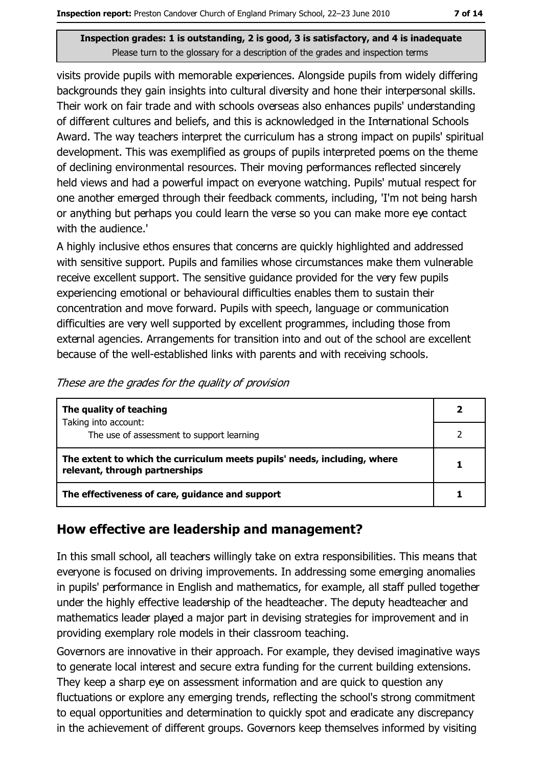visits provide pupils with memorable experiences. Alongside pupils from widely differing backgrounds they gain insights into cultural diversity and hone their interpersonal skills. Their work on fair trade and with schools overseas also enhances pupils' understanding of different cultures and beliefs, and this is acknowledged in the International Schools Award. The way teachers interpret the curriculum has a strong impact on pupils' spiritual development. This was exemplified as groups of pupils interpreted poems on the theme of declining environmental resources. Their moving performances reflected sincerely held views and had a powerful impact on everyone watching. Pupils' mutual respect for one another emerged through their feedback comments, including, 'I'm not being harsh or anything but perhaps you could learn the verse so you can make more eye contact with the audience.'

A highly inclusive ethos ensures that concerns are quickly highlighted and addressed with sensitive support. Pupils and families whose circumstances make them vulnerable receive excellent support. The sensitive quidance provided for the very few pupils experiencing emotional or behavioural difficulties enables them to sustain their concentration and move forward. Pupils with speech, language or communication difficulties are very well supported by excellent programmes, including those from external agencies. Arrangements for transition into and out of the school are excellent because of the well-established links with parents and with receiving schools.

| These are the grades for the quality of provision |  |
|---------------------------------------------------|--|
|                                                   |  |

| The quality of teaching                                                                                    |  |  |
|------------------------------------------------------------------------------------------------------------|--|--|
| Taking into account:<br>The use of assessment to support learning                                          |  |  |
| The extent to which the curriculum meets pupils' needs, including, where<br>relevant, through partnerships |  |  |
| The effectiveness of care, guidance and support                                                            |  |  |

#### How effective are leadership and management?

In this small school, all teachers willingly take on extra responsibilities. This means that everyone is focused on driving improvements. In addressing some emerging anomalies in pupils' performance in English and mathematics, for example, all staff pulled together under the highly effective leadership of the headteacher. The deputy headteacher and mathematics leader played a major part in devising strategies for improvement and in providing exemplary role models in their classroom teaching.

Governors are innovative in their approach. For example, they devised imaginative ways to generate local interest and secure extra funding for the current building extensions. They keep a sharp eye on assessment information and are quick to question any fluctuations or explore any emerging trends, reflecting the school's strong commitment to equal opportunities and determination to quickly spot and eradicate any discrepancy in the achievement of different groups. Governors keep themselves informed by visiting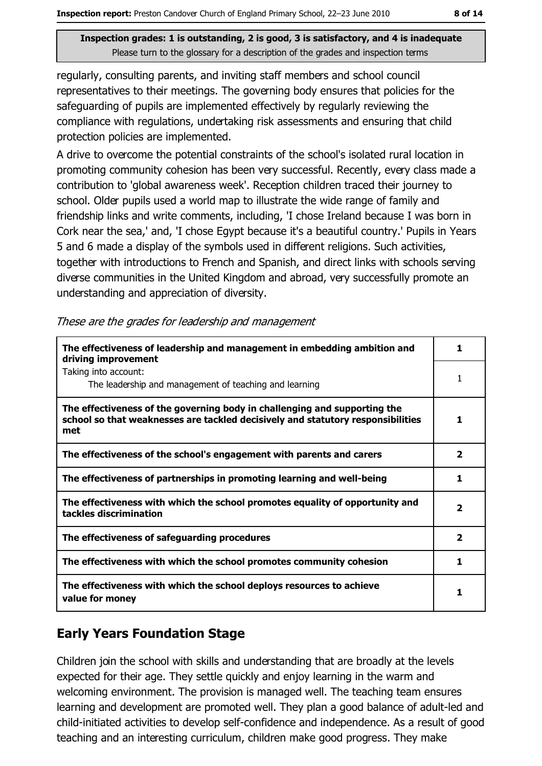regularly, consulting parents, and inviting staff members and school council representatives to their meetings. The governing body ensures that policies for the safeguarding of pupils are implemented effectively by regularly reviewing the compliance with regulations, undertaking risk assessments and ensuring that child protection policies are implemented.

A drive to overcome the potential constraints of the school's isolated rural location in promoting community cohesion has been very successful. Recently, every class made a contribution to 'global awareness week'. Reception children traced their journey to school. Older pupils used a world map to illustrate the wide range of family and friendship links and write comments, including, 'I chose Ireland because I was born in Cork near the sea,' and, 'I chose Egypt because it's a beautiful country.' Pupils in Years 5 and 6 made a display of the symbols used in different religions. Such activities, together with introductions to French and Spanish, and direct links with schools serving diverse communities in the United Kingdom and abroad, very successfully promote an understanding and appreciation of diversity.

|  |  | These are the grades for leadership and management |
|--|--|----------------------------------------------------|
|  |  |                                                    |

| The effectiveness of leadership and management in embedding ambition and<br>driving improvement                                                                     |                          |
|---------------------------------------------------------------------------------------------------------------------------------------------------------------------|--------------------------|
| Taking into account:<br>The leadership and management of teaching and learning                                                                                      |                          |
| The effectiveness of the governing body in challenging and supporting the<br>school so that weaknesses are tackled decisively and statutory responsibilities<br>met |                          |
| The effectiveness of the school's engagement with parents and carers                                                                                                | $\mathbf{2}$             |
| The effectiveness of partnerships in promoting learning and well-being                                                                                              | 1                        |
| The effectiveness with which the school promotes equality of opportunity and<br>tackles discrimination                                                              | $\overline{\phantom{a}}$ |
| The effectiveness of safeguarding procedures                                                                                                                        | $\mathbf{2}$             |
| The effectiveness with which the school promotes community cohesion                                                                                                 | 1                        |
| The effectiveness with which the school deploys resources to achieve<br>value for money                                                                             |                          |

#### **Early Years Foundation Stage**

Children join the school with skills and understanding that are broadly at the levels expected for their age. They settle quickly and enjoy learning in the warm and welcoming environment. The provision is managed well. The teaching team ensures learning and development are promoted well. They plan a good balance of adult-led and child-initiated activities to develop self-confidence and independence. As a result of good teaching and an interesting curriculum, children make good progress. They make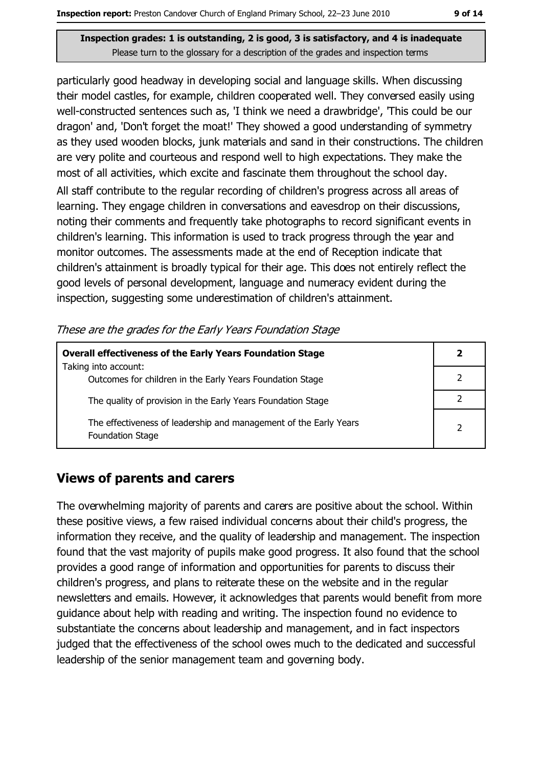particularly good headway in developing social and language skills. When discussing their model castles, for example, children cooperated well. They conversed easily using well-constructed sentences such as, 'I think we need a drawbridge', 'This could be our dragon' and, 'Don't forget the moat!' They showed a good understanding of symmetry as they used wooden blocks, junk materials and sand in their constructions. The children are very polite and courteous and respond well to high expectations. They make the most of all activities, which excite and fascinate them throughout the school day.

All staff contribute to the regular recording of children's progress across all areas of learning. They engage children in conversations and eavesdrop on their discussions, noting their comments and frequently take photographs to record significant events in children's learning. This information is used to track progress through the year and monitor outcomes. The assessments made at the end of Reception indicate that children's attainment is broadly typical for their age. This does not entirely reflect the good levels of personal development, language and numeracy evident during the inspection, suggesting some underestimation of children's attainment.

|  | These are the grades for the Early Years Foundation Stage |  |
|--|-----------------------------------------------------------|--|
|  |                                                           |  |

| <b>Overall effectiveness of the Early Years Foundation Stage</b>                      | 2 |
|---------------------------------------------------------------------------------------|---|
| Taking into account:<br>Outcomes for children in the Early Years Foundation Stage     |   |
| The quality of provision in the Early Years Foundation Stage                          |   |
| The effectiveness of leadership and management of the Early Years<br>Foundation Stage |   |

#### **Views of parents and carers**

The overwhelming majority of parents and carers are positive about the school. Within these positive views, a few raised individual concerns about their child's progress, the information they receive, and the quality of leadership and management. The inspection found that the vast majority of pupils make good progress. It also found that the school provides a good range of information and opportunities for parents to discuss their children's progress, and plans to reiterate these on the website and in the regular newsletters and emails. However, it acknowledges that parents would benefit from more guidance about help with reading and writing. The inspection found no evidence to substantiate the concerns about leadership and management, and in fact inspectors judged that the effectiveness of the school owes much to the dedicated and successful leadership of the senior management team and governing body.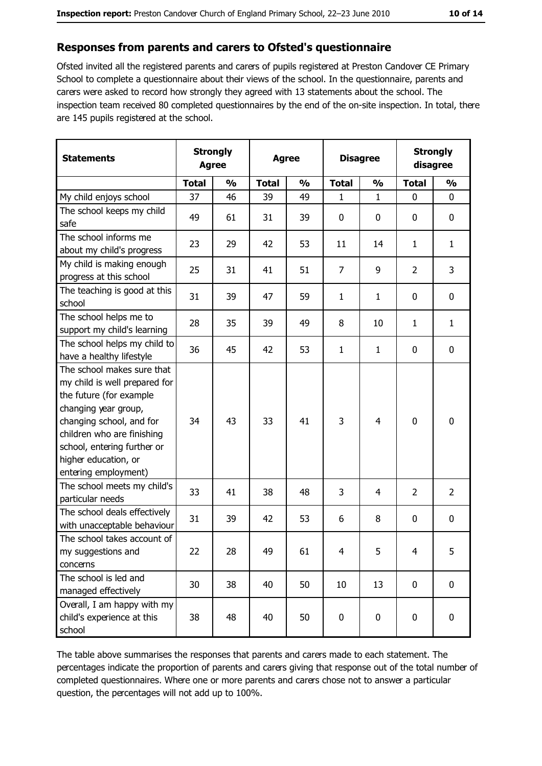#### Responses from parents and carers to Ofsted's questionnaire

Ofsted invited all the registered parents and carers of pupils registered at Preston Candover CE Primary School to complete a questionnaire about their views of the school. In the questionnaire, parents and carers were asked to record how strongly they agreed with 13 statements about the school. The inspection team received 80 completed questionnaires by the end of the on-site inspection. In total, there are 145 pupils registered at the school.

| <b>Statements</b>                                                                                                                                                                                                                                       | <b>Strongly</b><br><b>Agree</b> |               |              | <b>Agree</b>  | <b>Disagree</b> |               | <b>Strongly</b><br>disagree |                |
|---------------------------------------------------------------------------------------------------------------------------------------------------------------------------------------------------------------------------------------------------------|---------------------------------|---------------|--------------|---------------|-----------------|---------------|-----------------------------|----------------|
|                                                                                                                                                                                                                                                         | <b>Total</b>                    | $\frac{0}{0}$ | <b>Total</b> | $\frac{0}{0}$ | <b>Total</b>    | $\frac{0}{0}$ | <b>Total</b>                | $\frac{0}{0}$  |
| My child enjoys school                                                                                                                                                                                                                                  | 37                              | 46            | 39           | 49            | 1               | $\mathbf{1}$  | 0                           | 0              |
| The school keeps my child<br>safe                                                                                                                                                                                                                       | 49                              | 61            | 31           | 39            | $\mathbf 0$     | 0             | $\mathbf{0}$                | 0              |
| The school informs me<br>about my child's progress                                                                                                                                                                                                      | 23                              | 29            | 42           | 53            | 11              | 14            | $\mathbf{1}$                | $\mathbf{1}$   |
| My child is making enough<br>progress at this school                                                                                                                                                                                                    | 25                              | 31            | 41           | 51            | $\overline{7}$  | 9             | $\overline{2}$              | 3              |
| The teaching is good at this<br>school                                                                                                                                                                                                                  | 31                              | 39            | 47           | 59            | $\mathbf{1}$    | 1             | 0                           | 0              |
| The school helps me to<br>support my child's learning                                                                                                                                                                                                   | 28                              | 35            | 39           | 49            | 8               | 10            | 1                           | $\mathbf{1}$   |
| The school helps my child to<br>have a healthy lifestyle                                                                                                                                                                                                | 36                              | 45            | 42           | 53            | $\mathbf{1}$    | $\mathbf{1}$  | 0                           | $\mathbf 0$    |
| The school makes sure that<br>my child is well prepared for<br>the future (for example<br>changing year group,<br>changing school, and for<br>children who are finishing<br>school, entering further or<br>higher education, or<br>entering employment) | 34                              | 43            | 33           | 41            | 3               | 4             | 0                           | 0              |
| The school meets my child's<br>particular needs                                                                                                                                                                                                         | 33                              | 41            | 38           | 48            | 3               | 4             | 2                           | $\overline{2}$ |
| The school deals effectively<br>with unacceptable behaviour                                                                                                                                                                                             | 31                              | 39            | 42           | 53            | 6               | 8             | 0                           | 0              |
| The school takes account of<br>my suggestions and<br>concerns                                                                                                                                                                                           | 22                              | 28            | 49           | 61            | 4               | 5             | 4                           | 5              |
| The school is led and<br>managed effectively                                                                                                                                                                                                            | 30                              | 38            | 40           | 50            | 10              | 13            | 0                           | 0              |
| Overall, I am happy with my<br>child's experience at this<br>school                                                                                                                                                                                     | 38                              | 48            | 40           | 50            | $\pmb{0}$       | 0             | 0                           | 0              |

The table above summarises the responses that parents and carers made to each statement. The percentages indicate the proportion of parents and carers giving that response out of the total number of completed questionnaires. Where one or more parents and carers chose not to answer a particular question, the percentages will not add up to 100%.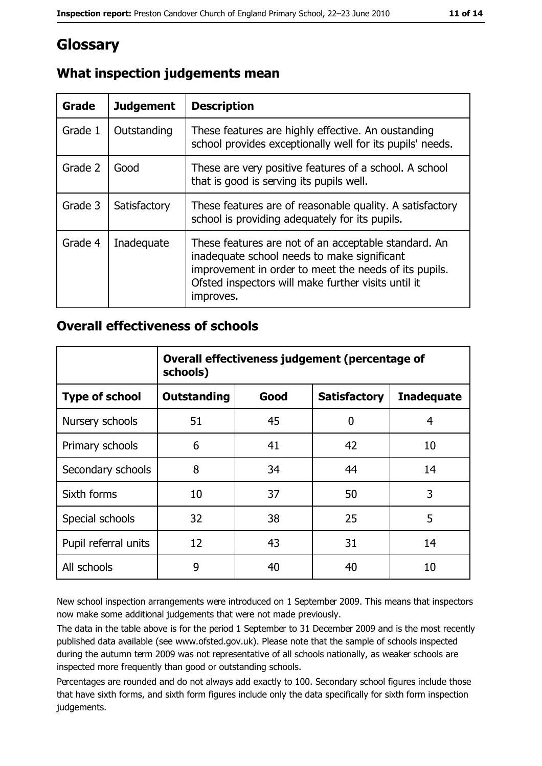## **Glossary**

| <b>Grade</b> | <b>Judgement</b> | <b>Description</b>                                                                                                                                                                                                               |
|--------------|------------------|----------------------------------------------------------------------------------------------------------------------------------------------------------------------------------------------------------------------------------|
| Grade 1      | Outstanding      | These features are highly effective. An oustanding<br>school provides exceptionally well for its pupils' needs.                                                                                                                  |
| Grade 2      | Good             | These are very positive features of a school. A school<br>that is good is serving its pupils well.                                                                                                                               |
| Grade 3      | Satisfactory     | These features are of reasonable quality. A satisfactory<br>school is providing adequately for its pupils.                                                                                                                       |
| Grade 4      | Inadequate       | These features are not of an acceptable standard. An<br>inadequate school needs to make significant<br>improvement in order to meet the needs of its pupils.<br>Ofsted inspectors will make further visits until it<br>improves. |

### What inspection judgements mean

#### **Overall effectiveness of schools**

|                       | Overall effectiveness judgement (percentage of<br>schools) |      |                     |                   |  |  |
|-----------------------|------------------------------------------------------------|------|---------------------|-------------------|--|--|
| <b>Type of school</b> | <b>Outstanding</b>                                         | Good | <b>Satisfactory</b> | <b>Inadequate</b> |  |  |
| Nursery schools       | 51                                                         | 45   | 0                   | 4                 |  |  |
| Primary schools       | 6                                                          | 41   | 42                  | 10                |  |  |
| Secondary schools     | 8                                                          | 34   | 44                  | 14                |  |  |
| Sixth forms           | 10                                                         | 37   | 50                  | 3                 |  |  |
| Special schools       | 32                                                         | 38   | 25                  | 5                 |  |  |
| Pupil referral units  | 12                                                         | 43   | 31                  | 14                |  |  |
| All schools           | 9                                                          | 40   | 40                  | 10                |  |  |

New school inspection arrangements were introduced on 1 September 2009. This means that inspectors now make some additional judgements that were not made previously.

The data in the table above is for the period 1 September to 31 December 2009 and is the most recently published data available (see www.ofsted.gov.uk). Please note that the sample of schools inspected during the autumn term 2009 was not representative of all schools nationally, as weaker schools are inspected more frequently than good or outstanding schools.

Percentages are rounded and do not always add exactly to 100. Secondary school figures include those that have sixth forms, and sixth form figures include only the data specifically for sixth form inspection judgements.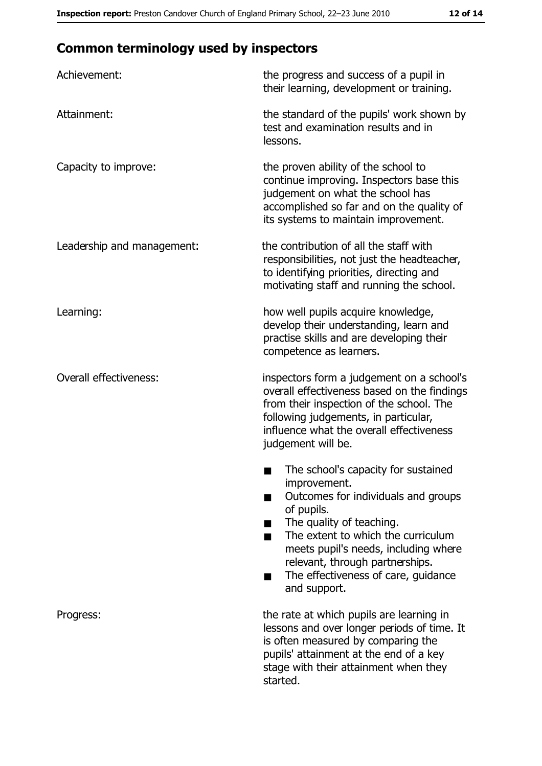## **Common terminology used by inspectors**

| Achievement:                  | the progress and success of a pupil in<br>their learning, development or training.                                                                                                                                                                                                                           |  |  |
|-------------------------------|--------------------------------------------------------------------------------------------------------------------------------------------------------------------------------------------------------------------------------------------------------------------------------------------------------------|--|--|
| Attainment:                   | the standard of the pupils' work shown by<br>test and examination results and in<br>lessons.                                                                                                                                                                                                                 |  |  |
| Capacity to improve:          | the proven ability of the school to<br>continue improving. Inspectors base this<br>judgement on what the school has<br>accomplished so far and on the quality of<br>its systems to maintain improvement.                                                                                                     |  |  |
| Leadership and management:    | the contribution of all the staff with<br>responsibilities, not just the headteacher,<br>to identifying priorities, directing and<br>motivating staff and running the school.                                                                                                                                |  |  |
| Learning:                     | how well pupils acquire knowledge,<br>develop their understanding, learn and<br>practise skills and are developing their<br>competence as learners.                                                                                                                                                          |  |  |
| <b>Overall effectiveness:</b> | inspectors form a judgement on a school's<br>overall effectiveness based on the findings<br>from their inspection of the school. The<br>following judgements, in particular,<br>influence what the overall effectiveness<br>judgement will be.                                                               |  |  |
|                               | The school's capacity for sustained<br>improvement.<br>Outcomes for individuals and groups<br>of pupils.<br>The quality of teaching.<br>The extent to which the curriculum<br>meets pupil's needs, including where<br>relevant, through partnerships.<br>The effectiveness of care, guidance<br>and support. |  |  |
| Progress:                     | the rate at which pupils are learning in<br>lessons and over longer periods of time. It<br>is often measured by comparing the<br>pupils' attainment at the end of a key<br>stage with their attainment when they<br>started.                                                                                 |  |  |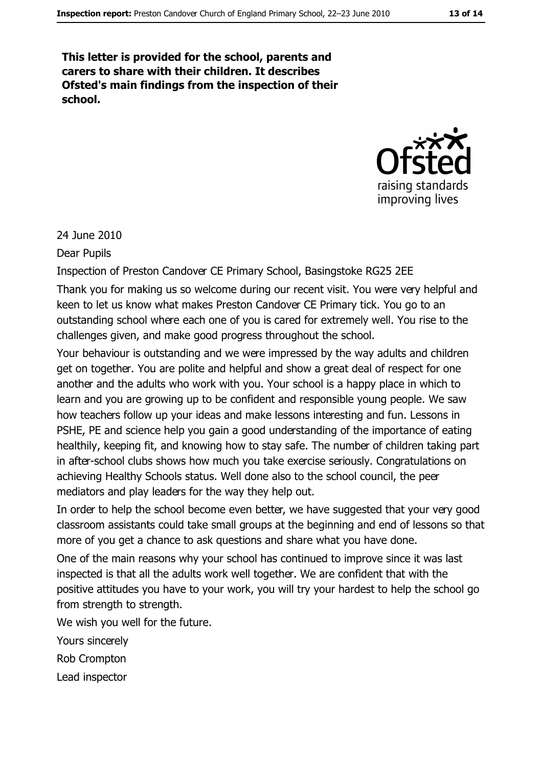This letter is provided for the school, parents and carers to share with their children. It describes Ofsted's main findings from the inspection of their school.



24 June 2010

**Dear Pupils** 

Inspection of Preston Candover CE Primary School, Basingstoke RG25 2EE

Thank you for making us so welcome during our recent visit. You were very helpful and keen to let us know what makes Preston Candover CE Primary tick. You go to an outstanding school where each one of you is cared for extremely well. You rise to the challenges given, and make good progress throughout the school.

Your behaviour is outstanding and we were impressed by the way adults and children get on together. You are polite and helpful and show a great deal of respect for one another and the adults who work with you. Your school is a happy place in which to learn and you are growing up to be confident and responsible young people. We saw how teachers follow up your ideas and make lessons interesting and fun. Lessons in PSHE, PE and science help you gain a good understanding of the importance of eating healthily, keeping fit, and knowing how to stay safe. The number of children taking part in after-school clubs shows how much you take exercise seriously. Congratulations on achieving Healthy Schools status. Well done also to the school council, the peer mediators and play leaders for the way they help out.

In order to help the school become even better, we have suggested that your very good classroom assistants could take small groups at the beginning and end of lessons so that more of you get a chance to ask questions and share what you have done.

One of the main reasons why your school has continued to improve since it was last inspected is that all the adults work well together. We are confident that with the positive attitudes you have to your work, you will try your hardest to help the school go from strength to strength.

We wish you well for the future.

Yours sincerely

Rob Crompton

Lead inspector